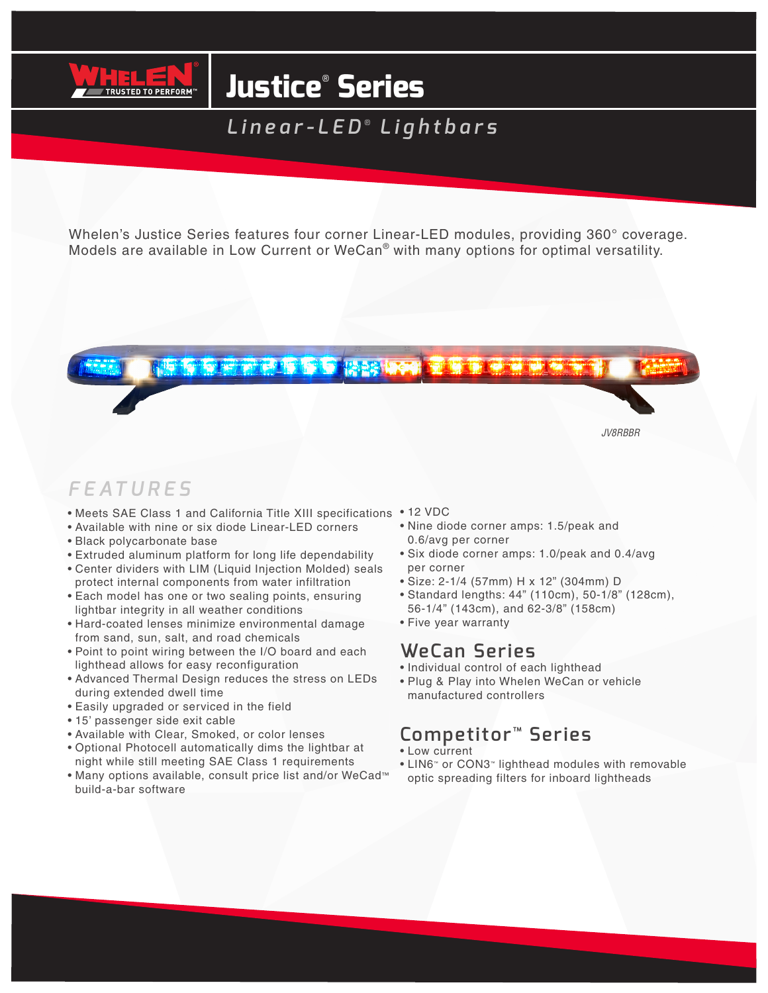

# **Justice**®  **Series**

*Linear-LED* ®  *Lightbars*

Whelen's Justice Series features four corner Linear-LED modules, providing 360° coverage. Models are available in Low Current or WeCan® with many options for optimal versatility.

## 情有象征神奇信仰者 经经济协会

*JV8RBBR*

## *FEATURES*

- Meets SAE Class 1 and California Title XIII specifications 12 VDC
- Available with nine or six diode Linear-LED corners
- Black polycarbonate base
- Extruded aluminum platform for long life dependability
- Center dividers with LIM (Liquid Injection Molded) seals protect internal components from water infiltration
- Each model has one or two sealing points, ensuring lightbar integrity in all weather conditions
- Hard-coated lenses minimize environmental damage from sand, sun, salt, and road chemicals
- Point to point wiring between the I/O board and each lighthead allows for easy reconfiguration
- Advanced Thermal Design reduces the stress on LEDs during extended dwell time
- Easily upgraded or serviced in the field
- 15' passenger side exit cable
- Available with Clear, Smoked, or color lenses
- Optional Photocell automatically dims the lightbar at night while still meeting SAE Class 1 requirements
- Many options available, consult price list and/or WeCad™ build-a-bar software
- 
- Nine diode corner amps: 1.5/peak and 0.6/avg per corner
- Six diode corner amps: 1.0/peak and 0.4/avg per corner
- Size: 2-1/4 (57mm) H x 12" (304mm) D
- Standard lengths: 44" (110cm), 50-1/8" (128cm), 56-1/4" (143cm), and 62-3/8" (158cm)
- Five year warranty

#### **WeCan Series**

- Individual control of each lighthead
- Plug & Play into Whelen WeCan or vehicle manufactured controllers

## **Competitor**™ **Series**

- Low current
- LIN6™ or CON3™ lighthead modules with removable optic spreading filters for inboard lightheads